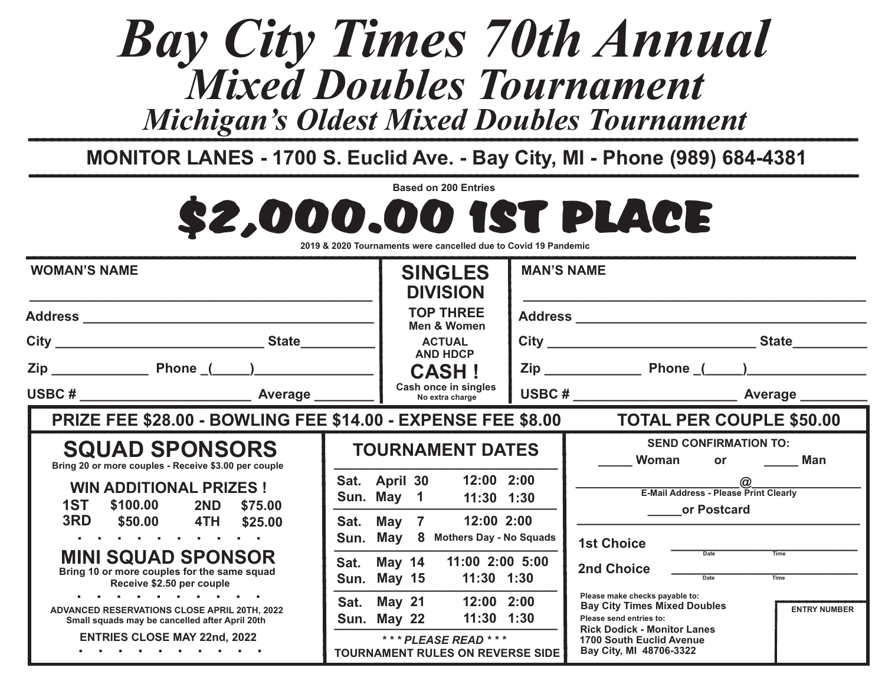## *Mixed Doubles Tournament Bay City Times 70th Annual Michigan's Oldest Mixed Doubles Tournament*

**MONITOR LANES - 1700 S. Euclid Ave. - Bay City, MI - Phone (989) 684-4381** 

\$2,000.00 1ST PLACE **Based on 200 Entries**

|  |  | $\propto$ 2020 $^{-1}$<br>$2019 \lambda$ .<br><b>`19 Pandemic</b><br>ി Tournaments were cancelled due to Covid ∖ |
|--|--|------------------------------------------------------------------------------------------------------------------|
|--|--|------------------------------------------------------------------------------------------------------------------|

| <b>WOMAN'S NAME</b>                                                                                   |                                         | <b>SINGLES</b><br><b>DIVISION</b> |                                                                  | <b>MAN'S NAME</b> |                                                                                                                         |
|-------------------------------------------------------------------------------------------------------|-----------------------------------------|-----------------------------------|------------------------------------------------------------------|-------------------|-------------------------------------------------------------------------------------------------------------------------|
|                                                                                                       |                                         | <b>TOP THREE</b><br>Men & Women   |                                                                  |                   |                                                                                                                         |
|                                                                                                       |                                         |                                   | <b>ACTUAL</b><br><b>AND HDCP</b>                                 |                   |                                                                                                                         |
|                                                                                                       |                                         |                                   | <b>CASH!</b>                                                     |                   |                                                                                                                         |
|                                                                                                       | Cash once in singles<br>No extra charge |                                   |                                                                  |                   |                                                                                                                         |
| <b>PRIZE FEE \$28.00 - BOWLING FEE \$14.00 - EXPENSE FEE \$8.00</b>                                   |                                         |                                   |                                                                  |                   | <b>TOTAL PER COUPLE \$50.00</b>                                                                                         |
| <b>SQUAD SPONSORS</b><br>Bring 20 or more couples - Receive \$3.00 per couple                         |                                         |                                   | <b>TOURNAMENT DATES</b>                                          |                   | <b>SEND CONFIRMATION TO:</b><br>Woman or <u>Landell</u><br>Man                                                          |
| <b>WIN ADDITIONAL PRIZES!</b><br>1ST<br>\$100.00 2ND \$75.00                                          |                                         |                                   | Sat. April 30 12:00 2:00<br>Sun. May 1 11:30 1:30                |                   | $\circledR$<br>E-Mail Address - Please Print Clearly<br>or Postcard                                                     |
| 3RD<br>\$50.00 4TH \$25.00<br>.                                                                       |                                         |                                   | Sat. May 7 12:00 2:00<br>Sun. May 8 Mothers Day - No Squads      |                   | <b>1st Choice</b>                                                                                                       |
| <b>MINI SQUAD SPONSOR</b><br>Bring 10 or more couples for the same squad<br>Receive \$2.50 per couple |                                         |                                   | Sat. May 14 11:00 2:00 5:00<br>Sun. May 15 11:30 1:30            |                   | Date<br>Time<br><b>2nd Choice</b><br>Date<br>Time                                                                       |
| .<br>ADVANCED RESERVATIONS CLOSE APRIL 20TH, 2022<br>Small squads may be cancelled after April 20th   |                                         |                                   | Sat. May 21 12:00 2:00<br>Sun. May 22 11:30 1:30                 |                   | Please make checks payable to:<br><b>Bay City Times Mixed Doubles</b><br><b>ENTRY NUMBER</b><br>Please send entries to: |
| <b>ENTRIES CLOSE MAY 22nd, 2022</b>                                                                   |                                         |                                   | *** PLEASE READ ***<br><b>TOURNAMENT RULES ON REVERSE SIDE  </b> |                   | <b>Rick Dodick - Monitor Lanes</b><br><b>1700 South Euclid Avenue</b><br>Bay City, MI 48706-3322                        |